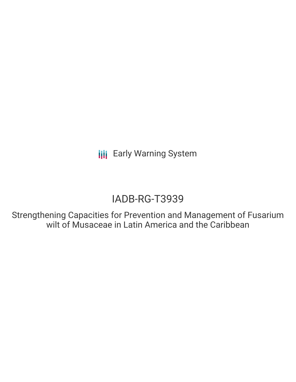**III** Early Warning System

# IADB-RG-T3939

Strengthening Capacities for Prevention and Management of Fusarium wilt of Musaceae in Latin America and the Caribbean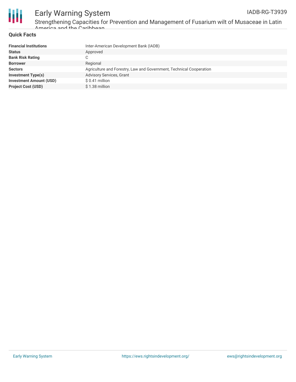

#### **Quick Facts** America and the Caribbean

| <b>Financial Institutions</b>  | Inter-American Development Bank (IADB)                              |
|--------------------------------|---------------------------------------------------------------------|
| <b>Status</b>                  | Approved                                                            |
| <b>Bank Risk Rating</b>        |                                                                     |
| <b>Borrower</b>                | Regional                                                            |
| <b>Sectors</b>                 | Agriculture and Forestry, Law and Government, Technical Cooperation |
| <b>Investment Type(s)</b>      | <b>Advisory Services, Grant</b>                                     |
| <b>Investment Amount (USD)</b> | $$0.41$ million                                                     |
| <b>Project Cost (USD)</b>      | \$1.38 million                                                      |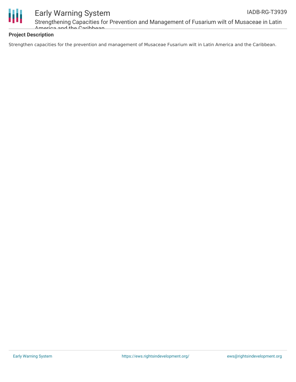

# Early Warning System

Strengthening Capacities for Prevention and Management of Fusarium wilt of Musaceae in Latin America and the Caribbean

### **Project Description**

Strengthen capacities for the prevention and management of Musaceae Fusarium wilt in Latin America and the Caribbean.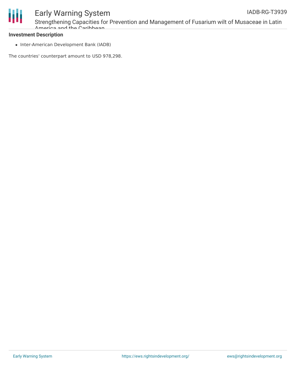

#### **Investment Description**

• Inter-American Development Bank (IADB)

The countries' counterpart amount to USD 978,298.